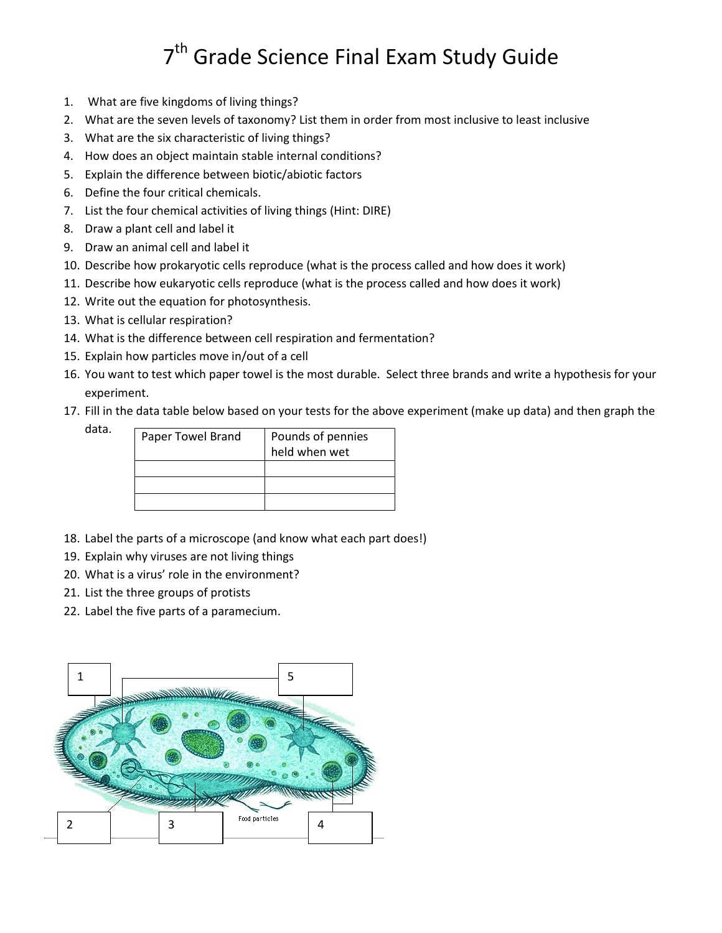## 7<sup>th</sup> Grade Science Final Exam Study Guide

- 1. What are five kingdoms of living things?
- 2. What are the seven levels of taxonomy? List them in order from most inclusive to least inclusive
- 3. What are the six characteristic of living things?
- 4. How does an object maintain stable internal conditions?
- 5. Explain the difference between biotic/abiotic factors
- 6. Define the four critical chemicals.
- 7. List the four chemical activities of living things (Hint: DIRE)
- 8. Draw a plant cell and label it
- 9. Draw an animal cell and label it
- 10. Describe how prokaryotic cells reproduce (what is the process called and how does it work)
- 11. Describe how eukaryotic cells reproduce (what is the process called and how does it work)
- 12. Write out the equation for photosynthesis.
- 13. What is cellular respiration?
- 14. What is the difference between cell respiration and fermentation?
- 15. Explain how particles move in/out of a cell
- 16. You want to test which paper towel is the most durable. Select three brands and write a hypothesis for your experiment.
- 17. Fill in the data table below based on your tests for the above experiment (make up data) and then graph the

data.

| Paper Towel Brand | Pounds of pennies |
|-------------------|-------------------|
|                   | held when wet     |
|                   |                   |
|                   |                   |
|                   |                   |

- 18. Label the parts of a microscope (and know what each part does!)
- 19. Explain why viruses are not living things
- 20. What is a virus' role in the environment?
- 21. List the three groups of protists
- 22. Label the five parts of a paramecium.

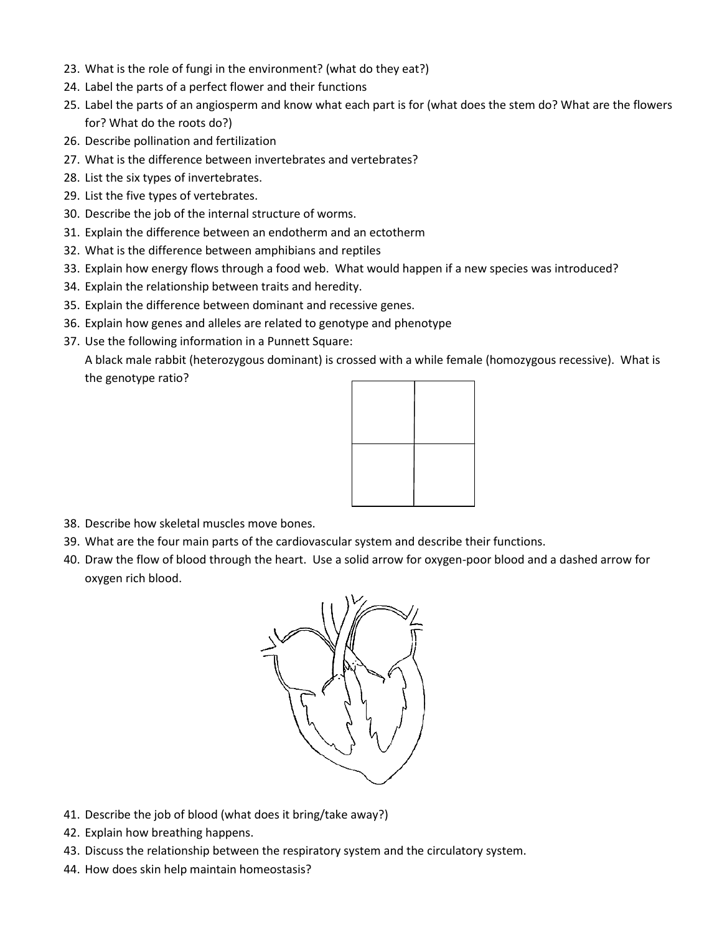- 23. What is the role of fungi in the environment? (what do they eat?)
- 24. Label the parts of a perfect flower and their functions
- 25. Label the parts of an angiosperm and know what each part is for (what does the stem do? What are the flowers for? What do the roots do?)
- 26. Describe pollination and fertilization
- 27. What is the difference between invertebrates and vertebrates?
- 28. List the six types of invertebrates.
- 29. List the five types of vertebrates.
- 30. Describe the job of the internal structure of worms.
- 31. Explain the difference between an endotherm and an ectotherm
- 32. What is the difference between amphibians and reptiles
- 33. Explain how energy flows through a food web. What would happen if a new species was introduced?
- 34. Explain the relationship between traits and heredity.
- 35. Explain the difference between dominant and recessive genes.
- 36. Explain how genes and alleles are related to genotype and phenotype
- 37. Use the following information in a Punnett Square:

A black male rabbit (heterozygous dominant) is crossed with a while female (homozygous recessive). What is the genotype ratio?



- 38. Describe how skeletal muscles move bones.
- 39. What are the four main parts of the cardiovascular system and describe their functions.
- 40. Draw the flow of blood through the heart. Use a solid arrow for oxygen-poor blood and a dashed arrow for oxygen rich blood.



- 41. Describe the job of blood (what does it bring/take away?)
- 42. Explain how breathing happens.
- 43. Discuss the relationship between the respiratory system and the circulatory system.
- 44. How does skin help maintain homeostasis?